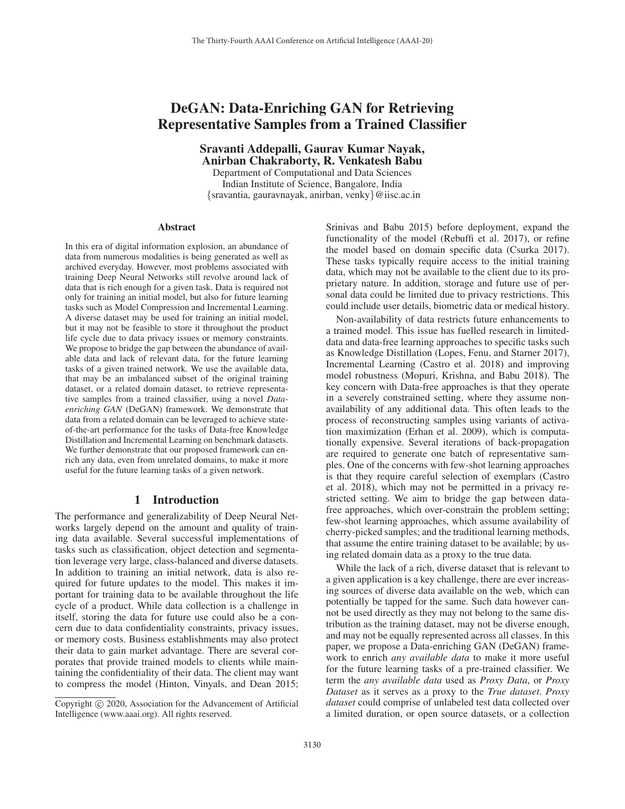# DeGAN: Data-Enriching GAN for Retrieving Representative Samples from a Trained Classifier

Sravanti Addepalli, Gaurav Kumar Nayak, Anirban Chakraborty, R. Venkatesh Babu

Department of Computational and Data Sciences Indian Institute of Science, Bangalore, India {sravantia, gauravnayak, anirban, venky}@iisc.ac.in

#### **Abstract**

In this era of digital information explosion, an abundance of data from numerous modalities is being generated as well as archived everyday. However, most problems associated with training Deep Neural Networks still revolve around lack of data that is rich enough for a given task. Data is required not only for training an initial model, but also for future learning tasks such as Model Compression and Incremental Learning. A diverse dataset may be used for training an initial model, but it may not be feasible to store it throughout the product life cycle due to data privacy issues or memory constraints. We propose to bridge the gap between the abundance of available data and lack of relevant data, for the future learning tasks of a given trained network. We use the available data, that may be an imbalanced subset of the original training dataset, or a related domain dataset, to retrieve representative samples from a trained classifier, using a novel *Dataenriching GAN* (DeGAN) framework. We demonstrate that data from a related domain can be leveraged to achieve stateof-the-art performance for the tasks of Data-free Knowledge Distillation and Incremental Learning on benchmark datasets. We further demonstrate that our proposed framework can enrich any data, even from unrelated domains, to make it more useful for the future learning tasks of a given network.

## 1 Introduction

The performance and generalizability of Deep Neural Networks largely depend on the amount and quality of training data available. Several successful implementations of tasks such as classification, object detection and segmentation leverage very large, class-balanced and diverse datasets. In addition to training an initial network, data is also required for future updates to the model. This makes it important for training data to be available throughout the life cycle of a product. While data collection is a challenge in itself, storing the data for future use could also be a concern due to data confidentiality constraints, privacy issues, or memory costs. Business establishments may also protect their data to gain market advantage. There are several corporates that provide trained models to clients while maintaining the confidentiality of their data. The client may want to compress the model (Hinton, Vinyals, and Dean 2015;

Srinivas and Babu 2015) before deployment, expand the functionality of the model (Rebuffi et al. 2017), or refine the model based on domain specific data (Csurka 2017). These tasks typically require access to the initial training data, which may not be available to the client due to its proprietary nature. In addition, storage and future use of personal data could be limited due to privacy restrictions. This could include user details, biometric data or medical history.

Non-availability of data restricts future enhancements to a trained model. This issue has fuelled research in limiteddata and data-free learning approaches to specific tasks such as Knowledge Distillation (Lopes, Fenu, and Starner 2017), Incremental Learning (Castro et al. 2018) and improving model robustness (Mopuri, Krishna, and Babu 2018). The key concern with Data-free approaches is that they operate in a severely constrained setting, where they assume nonavailability of any additional data. This often leads to the process of reconstructing samples using variants of activation maximization (Erhan et al. 2009), which is computationally expensive. Several iterations of back-propagation are required to generate one batch of representative samples. One of the concerns with few-shot learning approaches is that they require careful selection of exemplars (Castro et al. 2018), which may not be permitted in a privacy restricted setting. We aim to bridge the gap between datafree approaches, which over-constrain the problem setting; few-shot learning approaches, which assume availability of cherry-picked samples; and the traditional learning methods, that assume the entire training dataset to be available; by using related domain data as a proxy to the true data.

While the lack of a rich, diverse dataset that is relevant to a given application is a key challenge, there are ever increasing sources of diverse data available on the web, which can potentially be tapped for the same. Such data however cannot be used directly as they may not belong to the same distribution as the training dataset, may not be diverse enough, and may not be equally represented across all classes. In this paper, we propose a Data-enriching GAN (DeGAN) framework to enrich *any available data* to make it more useful for the future learning tasks of a pre-trained classifier. We term the *any available data* used as *Proxy Data*, or *Proxy Dataset* as it serves as a proxy to the *True dataset*. *Proxy dataset* could comprise of unlabeled test data collected over a limited duration, or open source datasets, or a collection

Copyright  $\odot$  2020, Association for the Advancement of Artificial Intelligence (www.aaai.org). All rights reserved.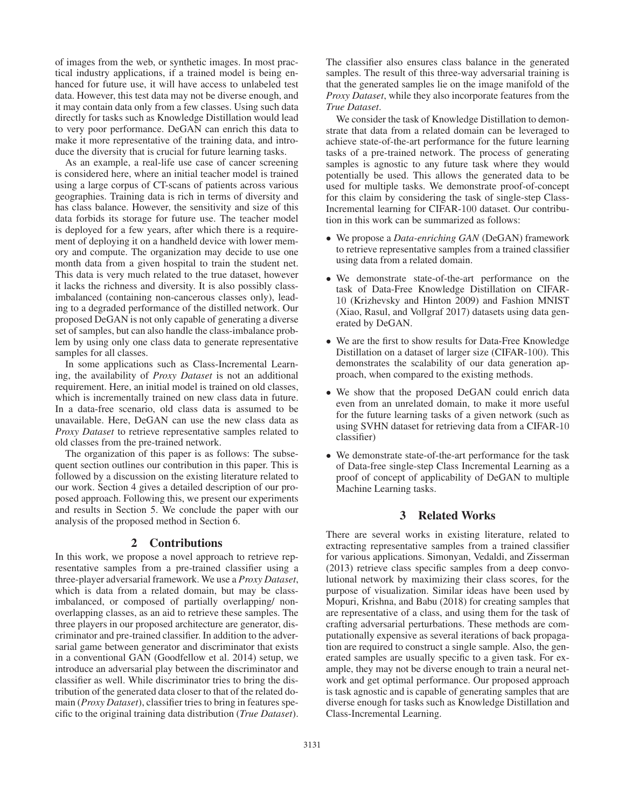of images from the web, or synthetic images. In most practical industry applications, if a trained model is being enhanced for future use, it will have access to unlabeled test data. However, this test data may not be diverse enough, and it may contain data only from a few classes. Using such data directly for tasks such as Knowledge Distillation would lead to very poor performance. DeGAN can enrich this data to make it more representative of the training data, and introduce the diversity that is crucial for future learning tasks.

As an example, a real-life use case of cancer screening is considered here, where an initial teacher model is trained using a large corpus of CT-scans of patients across various geographies. Training data is rich in terms of diversity and has class balance. However, the sensitivity and size of this data forbids its storage for future use. The teacher model is deployed for a few years, after which there is a requirement of deploying it on a handheld device with lower memory and compute. The organization may decide to use one month data from a given hospital to train the student net. This data is very much related to the true dataset, however it lacks the richness and diversity. It is also possibly classimbalanced (containing non-cancerous classes only), leading to a degraded performance of the distilled network. Our proposed DeGAN is not only capable of generating a diverse set of samples, but can also handle the class-imbalance problem by using only one class data to generate representative samples for all classes.

In some applications such as Class-Incremental Learning, the availability of *Proxy Dataset* is not an additional requirement. Here, an initial model is trained on old classes, which is incrementally trained on new class data in future. In a data-free scenario, old class data is assumed to be unavailable. Here, DeGAN can use the new class data as *Proxy Dataset* to retrieve representative samples related to old classes from the pre-trained network.

The organization of this paper is as follows: The subsequent section outlines our contribution in this paper. This is followed by a discussion on the existing literature related to our work. Section 4 gives a detailed description of our proposed approach. Following this, we present our experiments and results in Section 5. We conclude the paper with our analysis of the proposed method in Section 6.

#### 2 Contributions

In this work, we propose a novel approach to retrieve representative samples from a pre-trained classifier using a three-player adversarial framework. We use a *Proxy Dataset*, which is data from a related domain, but may be classimbalanced, or composed of partially overlapping/ nonoverlapping classes, as an aid to retrieve these samples. The three players in our proposed architecture are generator, discriminator and pre-trained classifier. In addition to the adversarial game between generator and discriminator that exists in a conventional GAN (Goodfellow et al. 2014) setup, we introduce an adversarial play between the discriminator and classifier as well. While discriminator tries to bring the distribution of the generated data closer to that of the related domain (*Proxy Dataset*), classifier tries to bring in features specific to the original training data distribution (*True Dataset*).

The classifier also ensures class balance in the generated samples. The result of this three-way adversarial training is that the generated samples lie on the image manifold of the *Proxy Dataset*, while they also incorporate features from the *True Dataset*.

We consider the task of Knowledge Distillation to demonstrate that data from a related domain can be leveraged to achieve state-of-the-art performance for the future learning tasks of a pre-trained network. The process of generating samples is agnostic to any future task where they would potentially be used. This allows the generated data to be used for multiple tasks. We demonstrate proof-of-concept for this claim by considering the task of single-step Class-Incremental learning for CIFAR-100 dataset. Our contribution in this work can be summarized as follows:

- We propose a *Data-enriching GAN* (DeGAN) framework to retrieve representative samples from a trained classifier using data from a related domain.
- We demonstrate state-of-the-art performance on the task of Data-Free Knowledge Distillation on CIFAR-10 (Krizhevsky and Hinton 2009) and Fashion MNIST (Xiao, Rasul, and Vollgraf 2017) datasets using data generated by DeGAN.
- We are the first to show results for Data-Free Knowledge Distillation on a dataset of larger size (CIFAR-100). This demonstrates the scalability of our data generation approach, when compared to the existing methods.
- We show that the proposed DeGAN could enrich data even from an unrelated domain, to make it more useful for the future learning tasks of a given network (such as using SVHN dataset for retrieving data from a CIFAR-10 classifier)
- We demonstrate state-of-the-art performance for the task of Data-free single-step Class Incremental Learning as a proof of concept of applicability of DeGAN to multiple Machine Learning tasks.

## 3 Related Works

There are several works in existing literature, related to extracting representative samples from a trained classifier for various applications. Simonyan, Vedaldi, and Zisserman (2013) retrieve class specific samples from a deep convolutional network by maximizing their class scores, for the purpose of visualization. Similar ideas have been used by Mopuri, Krishna, and Babu (2018) for creating samples that are representative of a class, and using them for the task of crafting adversarial perturbations. These methods are computationally expensive as several iterations of back propagation are required to construct a single sample. Also, the generated samples are usually specific to a given task. For example, they may not be diverse enough to train a neural network and get optimal performance. Our proposed approach is task agnostic and is capable of generating samples that are diverse enough for tasks such as Knowledge Distillation and Class-Incremental Learning.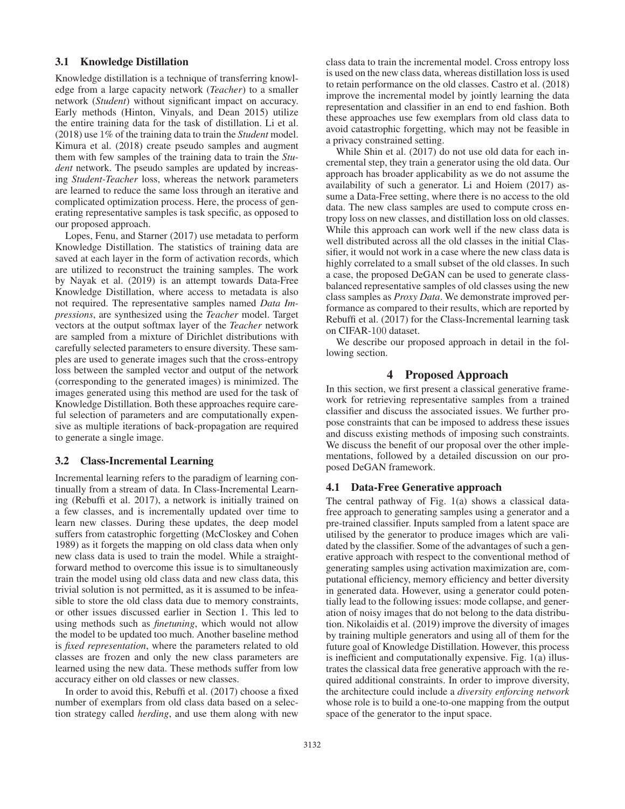## 3.1 Knowledge Distillation

Knowledge distillation is a technique of transferring knowledge from a large capacity network (*Teacher*) to a smaller network (*Student*) without significant impact on accuracy. Early methods (Hinton, Vinyals, and Dean 2015) utilize the entire training data for the task of distillation. Li et al. (2018) use 1% of the training data to train the *Student* model. Kimura et al. (2018) create pseudo samples and augment them with few samples of the training data to train the *Student* network. The pseudo samples are updated by increasing *Student-Teacher* loss, whereas the network parameters are learned to reduce the same loss through an iterative and complicated optimization process. Here, the process of generating representative samples is task specific, as opposed to our proposed approach.

Lopes, Fenu, and Starner (2017) use metadata to perform Knowledge Distillation. The statistics of training data are saved at each layer in the form of activation records, which are utilized to reconstruct the training samples. The work by Nayak et al. (2019) is an attempt towards Data-Free Knowledge Distillation, where access to metadata is also not required. The representative samples named *Data Impressions*, are synthesized using the *Teacher* model. Target vectors at the output softmax layer of the *Teacher* network are sampled from a mixture of Dirichlet distributions with carefully selected parameters to ensure diversity. These samples are used to generate images such that the cross-entropy loss between the sampled vector and output of the network (corresponding to the generated images) is minimized. The images generated using this method are used for the task of Knowledge Distillation. Both these approaches require careful selection of parameters and are computationally expensive as multiple iterations of back-propagation are required to generate a single image.

# 3.2 Class-Incremental Learning

Incremental learning refers to the paradigm of learning continually from a stream of data. In Class-Incremental Learning (Rebuffi et al. 2017), a network is initially trained on a few classes, and is incrementally updated over time to learn new classes. During these updates, the deep model suffers from catastrophic forgetting (McCloskey and Cohen 1989) as it forgets the mapping on old class data when only new class data is used to train the model. While a straightforward method to overcome this issue is to simultaneously train the model using old class data and new class data, this trivial solution is not permitted, as it is assumed to be infeasible to store the old class data due to memory constraints, or other issues discussed earlier in Section 1. This led to using methods such as *finetuning*, which would not allow the model to be updated too much. Another baseline method is *fixed representation*, where the parameters related to old classes are frozen and only the new class parameters are learned using the new data. These methods suffer from low accuracy either on old classes or new classes.

In order to avoid this, Rebuffi et al. (2017) choose a fixed number of exemplars from old class data based on a selection strategy called *herding*, and use them along with new

class data to train the incremental model. Cross entropy loss is used on the new class data, whereas distillation loss is used to retain performance on the old classes. Castro et al. (2018) improve the incremental model by jointly learning the data representation and classifier in an end to end fashion. Both these approaches use few exemplars from old class data to avoid catastrophic forgetting, which may not be feasible in a privacy constrained setting.

While Shin et al. (2017) do not use old data for each incremental step, they train a generator using the old data. Our approach has broader applicability as we do not assume the availability of such a generator. Li and Hoiem (2017) assume a Data-Free setting, where there is no access to the old data. The new class samples are used to compute cross entropy loss on new classes, and distillation loss on old classes. While this approach can work well if the new class data is well distributed across all the old classes in the initial Classifier, it would not work in a case where the new class data is highly correlated to a small subset of the old classes. In such a case, the proposed DeGAN can be used to generate classbalanced representative samples of old classes using the new class samples as *Proxy Data*. We demonstrate improved performance as compared to their results, which are reported by Rebuffi et al. (2017) for the Class-Incremental learning task on CIFAR-100 dataset.

We describe our proposed approach in detail in the following section.

# 4 Proposed Approach

In this section, we first present a classical generative framework for retrieving representative samples from a trained classifier and discuss the associated issues. We further propose constraints that can be imposed to address these issues and discuss existing methods of imposing such constraints. We discuss the benefit of our proposal over the other implementations, followed by a detailed discussion on our proposed DeGAN framework.

## 4.1 Data-Free Generative approach

The central pathway of Fig. 1(a) shows a classical datafree approach to generating samples using a generator and a pre-trained classifier. Inputs sampled from a latent space are utilised by the generator to produce images which are validated by the classifier. Some of the advantages of such a generative approach with respect to the conventional method of generating samples using activation maximization are, computational efficiency, memory efficiency and better diversity in generated data. However, using a generator could potentially lead to the following issues: mode collapse, and generation of noisy images that do not belong to the data distribution. Nikolaidis et al. (2019) improve the diversity of images by training multiple generators and using all of them for the future goal of Knowledge Distillation. However, this process is inefficient and computationally expensive. Fig. 1(a) illustrates the classical data free generative approach with the required additional constraints. In order to improve diversity, the architecture could include a *diversity enforcing network* whose role is to build a one-to-one mapping from the output space of the generator to the input space.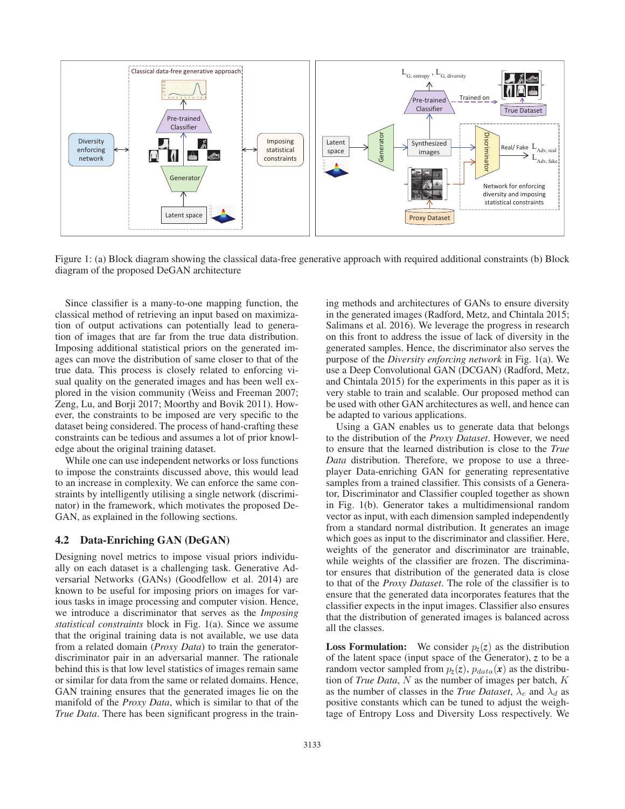

Figure 1: (a) Block diagram showing the classical data-free generative approach with required additional constraints (b) Block diagram of the proposed DeGAN architecture

Since classifier is a many-to-one mapping function, the classical method of retrieving an input based on maximization of output activations can potentially lead to generation of images that are far from the true data distribution. Imposing additional statistical priors on the generated images can move the distribution of same closer to that of the true data. This process is closely related to enforcing visual quality on the generated images and has been well explored in the vision community (Weiss and Freeman 2007; Zeng, Lu, and Borji 2017; Moorthy and Bovik 2011). However, the constraints to be imposed are very specific to the dataset being considered. The process of hand-crafting these constraints can be tedious and assumes a lot of prior knowledge about the original training dataset.

While one can use independent networks or loss functions to impose the constraints discussed above, this would lead to an increase in complexity. We can enforce the same constraints by intelligently utilising a single network (discriminator) in the framework, which motivates the proposed De-GAN, as explained in the following sections.

### 4.2 Data-Enriching GAN (DeGAN)

Designing novel metrics to impose visual priors individually on each dataset is a challenging task. Generative Adversarial Networks (GANs) (Goodfellow et al. 2014) are known to be useful for imposing priors on images for various tasks in image processing and computer vision. Hence, we introduce a discriminator that serves as the *Imposing statistical constraints* block in Fig. 1(a). Since we assume that the original training data is not available, we use data from a related domain (*Proxy Data*) to train the generatordiscriminator pair in an adversarial manner. The rationale behind this is that low level statistics of images remain same or similar for data from the same or related domains. Hence, GAN training ensures that the generated images lie on the manifold of the *Proxy Data*, which is similar to that of the *True Data*. There has been significant progress in the training methods and architectures of GANs to ensure diversity in the generated images (Radford, Metz, and Chintala 2015; Salimans et al. 2016). We leverage the progress in research on this front to address the issue of lack of diversity in the generated samples. Hence, the discriminator also serves the purpose of the *Diversity enforcing network* in Fig. 1(a). We use a Deep Convolutional GAN (DCGAN) (Radford, Metz, and Chintala 2015) for the experiments in this paper as it is very stable to train and scalable. Our proposed method can be used with other GAN architectures as well, and hence can be adapted to various applications.

Using a GAN enables us to generate data that belongs to the distribution of the *Proxy Dataset*. However, we need to ensure that the learned distribution is close to the *True Data* distribution. Therefore, we propose to use a threeplayer Data-enriching GAN for generating representative samples from a trained classifier. This consists of a Generator, Discriminator and Classifier coupled together as shown in Fig. 1(b). Generator takes a multidimensional random vector as input, with each dimension sampled independently from a standard normal distribution. It generates an image which goes as input to the discriminator and classifier. Here, weights of the generator and discriminator are trainable, while weights of the classifier are frozen. The discriminator ensures that distribution of the generated data is close to that of the *Proxy Dataset*. The role of the classifier is to ensure that the generated data incorporates features that the classifier expects in the input images. Classifier also ensures that the distribution of generated images is balanced across all the classes.

**Loss Formulation:** We consider  $p_z(z)$  as the distribution of the latent space (input space of the Generator), *z* to be a random vector sampled from  $p_z(z)$ ,  $p_{data}(x)$  as the distribution of *True Data*, N as the number of images per batch, K as the number of classes in the *True Dataset*,  $\lambda_e$  and  $\lambda_d$  as positive constants which can be tuned to adjust the weightage of Entropy Loss and Diversity Loss respectively. We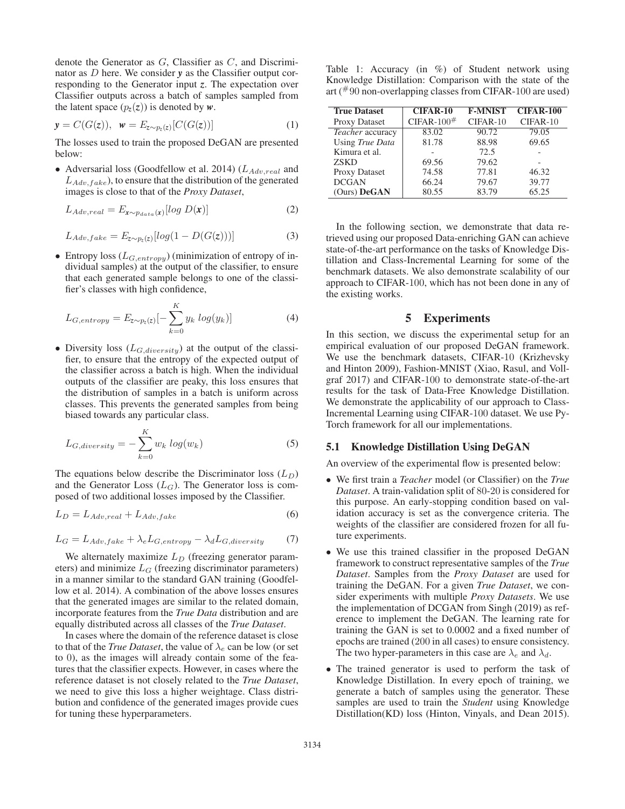denote the Generator as  $G$ , Classifier as  $C$ , and Discriminator as D here. We consider *<sup>y</sup>* as the Classifier output corresponding to the Generator input *z*. The expectation over Classifier outputs across a batch of samples sampled from the latent space  $(p_z(z))$  is denoted by  $w$ .

$$
\mathbf{y} = C(G(\mathbf{z})), \ \mathbf{w} = E_{\mathbf{z} \sim p_{z}(\mathbf{z})}[C(G(\mathbf{z}))]
$$
(1)

The losses used to train the proposed DeGAN are presented below:

• Adversarial loss (Goodfellow et al. 2014) ( $L_{Adv,real}$  and  $L_{Adv,fake}$ ), to ensure that the distribution of the generated images is close to that of the *Proxy Dataset*,

$$
L_{Adv,real} = E_{\mathbf{x} \sim p_{data}(\mathbf{x})} [log \ D(\mathbf{x})]
$$
 (2)

$$
L_{Adv,fake} = E_{z \sim p_z(z)}[log(1 - D(G(z)))] \tag{3}
$$

• Entropy loss  $(L_{G,entropy})$  (minimization of entropy of individual samples) at the output of the classifier, to ensure that each generated sample belongs to one of the classifier's classes with high confidence,

$$
L_{G,entropy} = E_{z \sim p_z(z)}[-\sum_{k=0}^{K} y_k log(y_k)]
$$
\n(4)

• Diversity loss  $(L_{G,diversity})$  at the output of the classifier, to ensure that the entropy of the expected output of the classifier across a batch is high. When the individual outputs of the classifier are peaky, this loss ensures that the distribution of samples in a batch is uniform across classes. This prevents the generated samples from being biased towards any particular class.

$$
L_{G,diversity} = -\sum_{k=0}^{K} w_k \log(w_k)
$$
\n(5)

The equations below describe the Discriminator loss  $(L_D)$ and the Generator Loss  $(L_G)$ . The Generator loss is composed of two additional losses imposed by the Classifier.

$$
L_D = L_{Adv, real} + L_{Adv, fake} \tag{6}
$$

$$
L_G = L_{Adv, fake} + \lambda_e L_{G, entropy} - \lambda_d L_{G, diversity}
$$
 (7)

We alternately maximize  $L_D$  (freezing generator parameters) and minimize  $L_G$  (freezing discriminator parameters) in a manner similar to the standard GAN training (Goodfellow et al. 2014). A combination of the above losses ensures that the generated images are similar to the related domain, incorporate features from the *True Data* distribution and are equally distributed across all classes of the *True Dataset*.

In cases where the domain of the reference dataset is close to that of the *True Dataset*, the value of  $\lambda_e$  can be low (or set to 0), as the images will already contain some of the features that the classifier expects. However, in cases where the reference dataset is not closely related to the *True Dataset*, we need to give this loss a higher weightage. Class distribution and confidence of the generated images provide cues for tuning these hyperparameters.

Table 1: Accuracy (in %) of Student network using Knowledge Distillation: Comparison with the state of the art ( $#90$  non-overlapping classes from CIFAR-100 are used)

| <b>True Dataset</b> | <b>CIFAR-10</b>   | <b>F-MNIST</b> | <b>CIFAR-100</b> |
|---------------------|-------------------|----------------|------------------|
| Proxy Dataset       | CIFAR- $100^{\#}$ | $CIFAR-10$     | CIFAR-10         |
| Teacher accuracy    | 83.02             | 90.72          | 79.05            |
| Using True Data     | 81.78             | 88.98          | 69.65            |
| Kimura et al.       |                   | 72.5           |                  |
| <b>ZSKD</b>         | 69.56             | 79.62          |                  |
| Proxy Dataset       | 74.58             | 77.81          | 46.32            |
| <b>DCGAN</b>        | 66.24             | 79.67          | 39.77            |
| (Ours) DeGAN        | 80.55             | 83.79          | 65.25            |

In the following section, we demonstrate that data retrieved using our proposed Data-enriching GAN can achieve state-of-the-art performance on the tasks of Knowledge Distillation and Class-Incremental Learning for some of the benchmark datasets. We also demonstrate scalability of our approach to CIFAR-100, which has not been done in any of the existing works.

# 5 Experiments

In this section, we discuss the experimental setup for an empirical evaluation of our proposed DeGAN framework. We use the benchmark datasets, CIFAR-10 (Krizhevsky and Hinton 2009), Fashion-MNIST (Xiao, Rasul, and Vollgraf 2017) and CIFAR-100 to demonstrate state-of-the-art results for the task of Data-Free Knowledge Distillation. We demonstrate the applicability of our approach to Class-Incremental Learning using CIFAR-100 dataset. We use Py-Torch framework for all our implementations.

#### 5.1 Knowledge Distillation Using DeGAN

An overview of the experimental flow is presented below:

- We first train a *Teacher* model (or Classifier) on the *True Dataset*. A train-validation split of 80-20 is considered for this purpose. An early-stopping condition based on validation accuracy is set as the convergence criteria. The weights of the classifier are considered frozen for all future experiments.
- We use this trained classifier in the proposed DeGAN framework to construct representative samples of the *True Dataset*. Samples from the *Proxy Dataset* are used for training the DeGAN. For a given *True Dataset*, we consider experiments with multiple *Proxy Datasets*. We use the implementation of DCGAN from Singh (2019) as reference to implement the DeGAN. The learning rate for training the GAN is set to 0.0002 and a fixed number of epochs are trained (200 in all cases) to ensure consistency. The two hyper-parameters in this case are  $\lambda_e$  and  $\lambda_d$ .
- The trained generator is used to perform the task of Knowledge Distillation. In every epoch of training, we generate a batch of samples using the generator. These samples are used to train the *Student* using Knowledge Distillation(KD) loss (Hinton, Vinyals, and Dean 2015).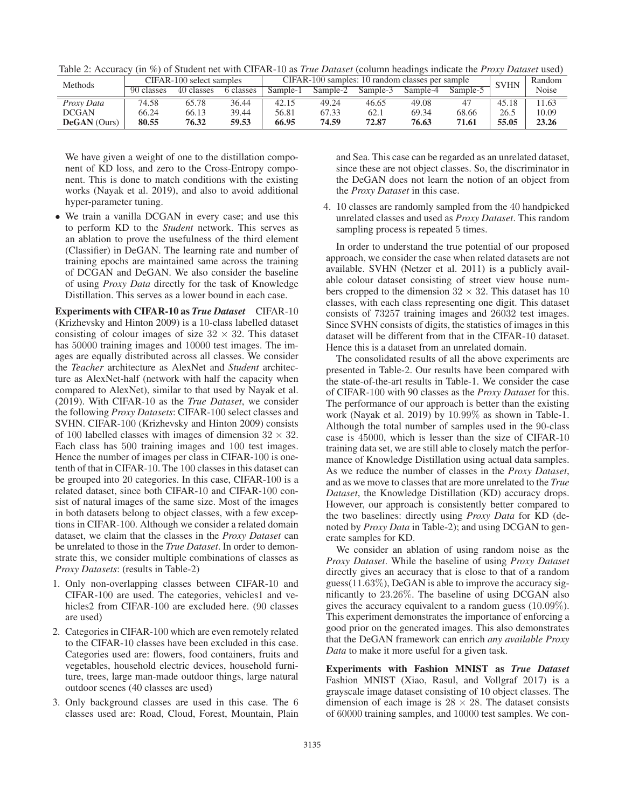| Methods             | CIFAR-100 select samples |            | CIFAR-100 samples: 10 random classes per sample |          |          |          | <b>SVHN</b> | Random   |       |       |
|---------------------|--------------------------|------------|-------------------------------------------------|----------|----------|----------|-------------|----------|-------|-------|
|                     | 90 classes               | 40 classes | 6 classes                                       | Sample-1 | Sample-2 | Sample-3 | Sample-4    | Sample-5 |       | Noise |
| Proxy Data          | 74.58                    | 65.78      | 36.44                                           | 42.15    | 49.24    | 46.65    | 49.08       | 47       | 45.18 | 1.63  |
| <b>DCGAN</b>        | 66.24                    | 66.13      | 39.44                                           | 56.81    | 67.33    | 62.      | 69.34       | 68.66    | 26.5  | 10.09 |
| <b>DeGAN</b> (Ours) | 80.55                    | 76.32      | 59.53                                           | 66.95    | 74.59    | 72.87    | 76.63       | 71.61    | 55.05 | 23.26 |

Table 2: Accuracy (in %) of Student net with CIFAR-10 as *True Dataset* (column headings indicate the *Proxy Dataset* used)

We have given a weight of one to the distillation component of KD loss, and zero to the Cross-Entropy component. This is done to match conditions with the existing works (Nayak et al. 2019), and also to avoid additional hyper-parameter tuning.

• We train a vanilla DCGAN in every case; and use this to perform KD to the *Student* network. This serves as an ablation to prove the usefulness of the third element (Classifier) in DeGAN. The learning rate and number of training epochs are maintained same across the training of DCGAN and DeGAN. We also consider the baseline of using *Proxy Data* directly for the task of Knowledge Distillation. This serves as a lower bound in each case.

Experiments with CIFAR-10 as *True Dataset* CIFAR-10 (Krizhevsky and Hinton 2009) is a 10-class labelled dataset consisting of colour images of size  $32 \times 32$ . This dataset has  $50000$  training images and  $10000$  test images. The images are equally distributed across all classes. We consider the *Teacher* architecture as AlexNet and *Student* architecture as AlexNet-half (network with half the capacity when compared to AlexNet), similar to that used by Nayak et al. (2019). With CIFAR-10 as the *True Dataset*, we consider the following *Proxy Datasets*: CIFAR-100 select classes and SVHN. CIFAR-100 (Krizhevsky and Hinton 2009) consists of 100 labelled classes with images of dimension  $32 \times 32$ . Each class has 500 training images and 100 test images. Hence the number of images per class in CIFAR-100 is onetenth of that in CIFAR-10. The 100 classes in this dataset can be grouped into 20 categories. In this case, CIFAR-100 is a related dataset, since both CIFAR-10 and CIFAR-100 consist of natural images of the same size. Most of the images in both datasets belong to object classes, with a few exceptions in CIFAR-100. Although we consider a related domain dataset, we claim that the classes in the *Proxy Dataset* can be unrelated to those in the *True Dataset*. In order to demonstrate this, we consider multiple combinations of classes as *Proxy Datasets*: (results in Table-2)

- 1. Only non-overlapping classes between CIFAR-10 and CIFAR-100 are used. The categories, vehicles1 and vehicles2 from CIFAR-100 are excluded here. (90 classes are used)
- 2. Categories in CIFAR-100 which are even remotely related to the CIFAR-10 classes have been excluded in this case. Categories used are: flowers, food containers, fruits and vegetables, household electric devices, household furniture, trees, large man-made outdoor things, large natural outdoor scenes (40 classes are used)
- 3. Only background classes are used in this case. The 6 classes used are: Road, Cloud, Forest, Mountain, Plain

and Sea. This case can be regarded as an unrelated dataset, since these are not object classes. So, the discriminator in the DeGAN does not learn the notion of an object from the *Proxy Dataset* in this case.

4. 10 classes are randomly sampled from the 40 handpicked unrelated classes and used as *Proxy Dataset*. This random sampling process is repeated 5 times.

In order to understand the true potential of our proposed approach, we consider the case when related datasets are not available. SVHN (Netzer et al. 2011) is a publicly available colour dataset consisting of street view house numbers cropped to the dimension  $32 \times 32$ . This dataset has 10 classes, with each class representing one digit. This dataset consists of 73257 training images and 26032 test images. Since SVHN consists of digits, the statistics of images in this dataset will be different from that in the CIFAR-10 dataset. Hence this is a dataset from an unrelated domain.

The consolidated results of all the above experiments are presented in Table-2. Our results have been compared with the state-of-the-art results in Table-1. We consider the case of CIFAR-100 with 90 classes as the *Proxy Dataset* for this. The performance of our approach is better than the existing work (Nayak et al. 2019) by <sup>10</sup>.99% as shown in Table-1. Although the total number of samples used in the 90-class case is 45000, which is lesser than the size of CIFAR-10 training data set, we are still able to closely match the performance of Knowledge Distillation using actual data samples. As we reduce the number of classes in the *Proxy Dataset*, and as we move to classes that are more unrelated to the *True Dataset*, the Knowledge Distillation (KD) accuracy drops. However, our approach is consistently better compared to the two baselines: directly using *Proxy Data* for KD (denoted by *Proxy Data* in Table-2); and using DCGAN to generate samples for KD.

We consider an ablation of using random noise as the *Proxy Dataset*. While the baseline of using *Proxy Dataset* directly gives an accuracy that is close to that of a random guess(11.63%), DeGAN is able to improve the accuracy significantly to <sup>23</sup>.26%. The baseline of using DCGAN also gives the accuracy equivalent to a random guess (10.09%). This experiment demonstrates the importance of enforcing a good prior on the generated images. This also demonstrates that the DeGAN framework can enrich *any available Proxy Data* to make it more useful for a given task.

Experiments with Fashion MNIST as *True Dataset* Fashion MNIST (Xiao, Rasul, and Vollgraf 2017) is a grayscale image dataset consisting of 10 object classes. The dimension of each image is  $28 \times 28$ . The dataset consists of 60000 training samples, and 10000 test samples. We con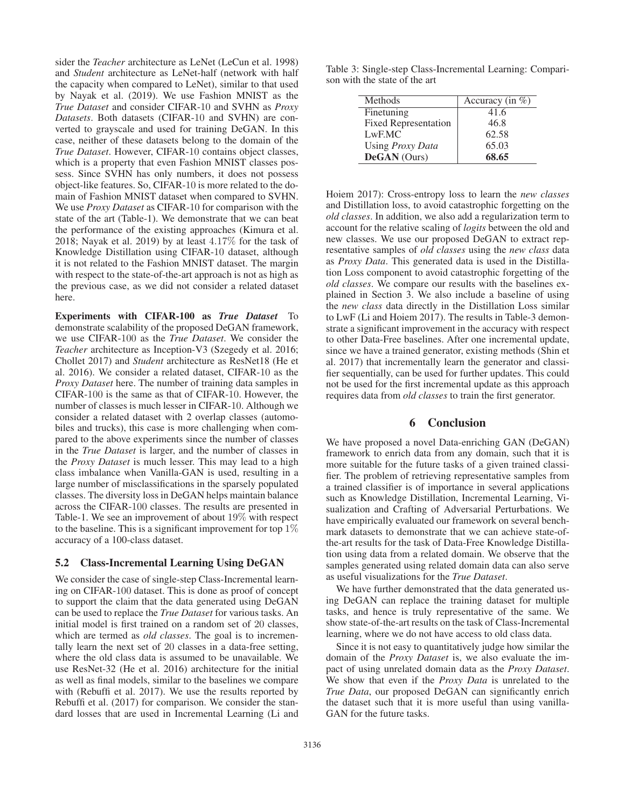sider the *Teacher* architecture as LeNet (LeCun et al. 1998) and *Student* architecture as LeNet-half (network with half the capacity when compared to LeNet), similar to that used by Nayak et al. (2019). We use Fashion MNIST as the *True Dataset* and consider CIFAR-10 and SVHN as *Proxy Datasets*. Both datasets (CIFAR-10 and SVHN) are converted to grayscale and used for training DeGAN. In this case, neither of these datasets belong to the domain of the *True Dataset*. However, CIFAR-10 contains object classes, which is a property that even Fashion MNIST classes possess. Since SVHN has only numbers, it does not possess object-like features. So, CIFAR-10 is more related to the domain of Fashion MNIST dataset when compared to SVHN. We use *Proxy Dataset* as CIFAR-10 for comparison with the state of the art (Table-1). We demonstrate that we can beat the performance of the existing approaches (Kimura et al. 2018; Nayak et al. 2019) by at least <sup>4</sup>.17% for the task of Knowledge Distillation using CIFAR-10 dataset, although it is not related to the Fashion MNIST dataset. The margin with respect to the state-of-the-art approach is not as high as the previous case, as we did not consider a related dataset here.

Experiments with CIFAR-100 as *True Dataset* To demonstrate scalability of the proposed DeGAN framework, we use CIFAR-100 as the *True Dataset*. We consider the *Teacher* architecture as Inception-V3 (Szegedy et al. 2016; Chollet 2017) and *Student* architecture as ResNet18 (He et al. 2016). We consider a related dataset, CIFAR-10 as the *Proxy Dataset* here. The number of training data samples in CIFAR-100 is the same as that of CIFAR-10. However, the number of classes is much lesser in CIFAR-10. Although we consider a related dataset with 2 overlap classes (automobiles and trucks), this case is more challenging when compared to the above experiments since the number of classes in the *True Dataset* is larger, and the number of classes in the *Proxy Dataset* is much lesser. This may lead to a high class imbalance when Vanilla-GAN is used, resulting in a large number of misclassifications in the sparsely populated classes. The diversity loss in DeGAN helps maintain balance across the CIFAR-100 classes. The results are presented in Table-1. We see an improvement of about 19% with respect to the baseline. This is a significant improvement for top  $1\%$ accuracy of a 100-class dataset.

### 5.2 Class-Incremental Learning Using DeGAN

We consider the case of single-step Class-Incremental learning on CIFAR-100 dataset. This is done as proof of concept to support the claim that the data generated using DeGAN can be used to replace the *True Dataset* for various tasks. An initial model is first trained on a random set of 20 classes, which are termed as *old classes*. The goal is to incrementally learn the next set of 20 classes in a data-free setting, where the old class data is assumed to be unavailable. We use ResNet-32 (He et al. 2016) architecture for the initial as well as final models, similar to the baselines we compare with (Rebuffi et al. 2017). We use the results reported by Rebuffi et al. (2017) for comparison. We consider the standard losses that are used in Incremental Learning (Li and

Table 3: Single-step Class-Incremental Learning: Comparison with the state of the art

| Methods                     | Accuracy (in $\%$ ) |  |  |
|-----------------------------|---------------------|--|--|
| Finetuning                  | 41.6                |  |  |
| <b>Fixed Representation</b> | 46.8                |  |  |
| LwF.MC                      | 62.58               |  |  |
| Using Proxy Data            | 65.03               |  |  |
| DeGAN (Ours)                | 68.65               |  |  |

Hoiem 2017): Cross-entropy loss to learn the *new classes* and Distillation loss, to avoid catastrophic forgetting on the *old classes*. In addition, we also add a regularization term to account for the relative scaling of *logits* between the old and new classes. We use our proposed DeGAN to extract representative samples of *old classes* using the *new class* data as *Proxy Data*. This generated data is used in the Distillation Loss component to avoid catastrophic forgetting of the *old classes*. We compare our results with the baselines explained in Section 3. We also include a baseline of using the *new class* data directly in the Distillation Loss similar to LwF (Li and Hoiem 2017). The results in Table-3 demonstrate a significant improvement in the accuracy with respect to other Data-Free baselines. After one incremental update, since we have a trained generator, existing methods (Shin et al. 2017) that incrementally learn the generator and classifier sequentially, can be used for further updates. This could not be used for the first incremental update as this approach requires data from *old classes* to train the first generator.

## 6 Conclusion

We have proposed a novel Data-enriching GAN (DeGAN) framework to enrich data from any domain, such that it is more suitable for the future tasks of a given trained classifier. The problem of retrieving representative samples from a trained classifier is of importance in several applications such as Knowledge Distillation, Incremental Learning, Visualization and Crafting of Adversarial Perturbations. We have empirically evaluated our framework on several benchmark datasets to demonstrate that we can achieve state-ofthe-art results for the task of Data-Free Knowledge Distillation using data from a related domain. We observe that the samples generated using related domain data can also serve as useful visualizations for the *True Dataset*.

We have further demonstrated that the data generated using DeGAN can replace the training dataset for multiple tasks, and hence is truly representative of the same. We show state-of-the-art results on the task of Class-Incremental learning, where we do not have access to old class data.

Since it is not easy to quantitatively judge how similar the domain of the *Proxy Dataset* is, we also evaluate the impact of using unrelated domain data as the *Proxy Dataset*. We show that even if the *Proxy Data* is unrelated to the *True Data*, our proposed DeGAN can significantly enrich the dataset such that it is more useful than using vanilla-GAN for the future tasks.